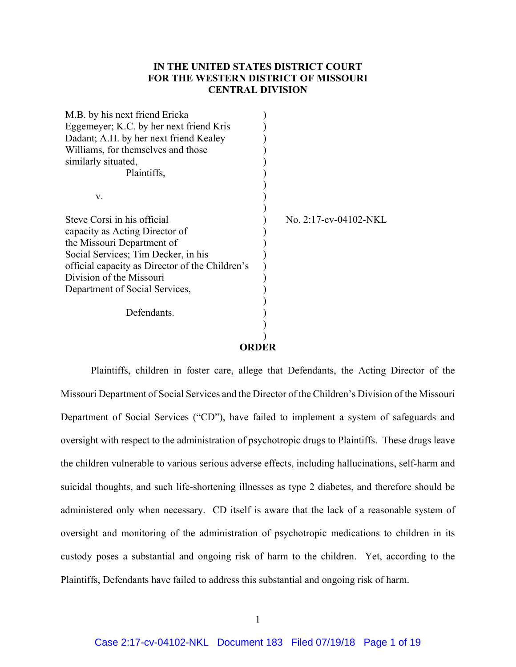# **IN THE UNITED STATES DISTRICT COURT FOR THE WESTERN DISTRICT OF MISSOURI CENTRAL DIVISION**

| M.B. by his next friend Ericka                  |                       |  |
|-------------------------------------------------|-----------------------|--|
| Eggemeyer; K.C. by her next friend Kris         |                       |  |
| Dadant; A.H. by her next friend Kealey          |                       |  |
| Williams, for themselves and those              |                       |  |
| similarly situated,                             |                       |  |
| Plaintiffs,                                     |                       |  |
|                                                 |                       |  |
| V.                                              |                       |  |
| Steve Corsi in his official                     | No. 2:17-cv-04102-NKL |  |
| capacity as Acting Director of                  |                       |  |
| the Missouri Department of                      |                       |  |
| Social Services; Tim Decker, in his             |                       |  |
| official capacity as Director of the Children's |                       |  |
| Division of the Missouri                        |                       |  |
| Department of Social Services,                  |                       |  |
|                                                 |                       |  |
| Defendants.                                     |                       |  |
|                                                 |                       |  |
|                                                 | ORDER                 |  |
|                                                 |                       |  |

Plaintiffs, children in foster care, allege that Defendants, the Acting Director of the Missouri Department of Social Services and the Director of the Children's Division of the Missouri Department of Social Services ("CD"), have failed to implement a system of safeguards and oversight with respect to the administration of psychotropic drugs to Plaintiffs. These drugs leave the children vulnerable to various serious adverse effects, including hallucinations, self-harm and suicidal thoughts, and such life-shortening illnesses as type 2 diabetes, and therefore should be administered only when necessary. CD itself is aware that the lack of a reasonable system of oversight and monitoring of the administration of psychotropic medications to children in its custody poses a substantial and ongoing risk of harm to the children. Yet, according to the Plaintiffs, Defendants have failed to address this substantial and ongoing risk of harm.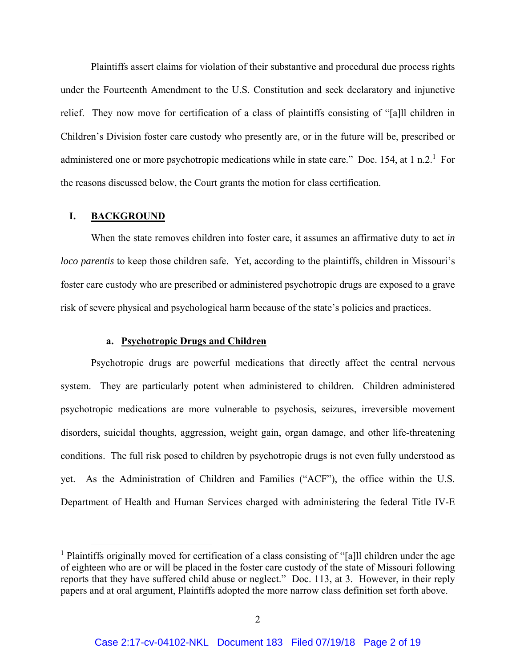Plaintiffs assert claims for violation of their substantive and procedural due process rights under the Fourteenth Amendment to the U.S. Constitution and seek declaratory and injunctive relief. They now move for certification of a class of plaintiffs consisting of "[a]ll children in Children's Division foster care custody who presently are, or in the future will be, prescribed or administered one or more psychotropic medications while in state care." Doc. 154, at 1 n.2.<sup>1</sup> For the reasons discussed below, the Court grants the motion for class certification.

#### **I. BACKGROUND**

When the state removes children into foster care, it assumes an affirmative duty to act *in loco parentis* to keep those children safe. Yet, according to the plaintiffs, children in Missouri's foster care custody who are prescribed or administered psychotropic drugs are exposed to a grave risk of severe physical and psychological harm because of the state's policies and practices.

## **a. Psychotropic Drugs and Children**

Psychotropic drugs are powerful medications that directly affect the central nervous system. They are particularly potent when administered to children. Children administered psychotropic medications are more vulnerable to psychosis, seizures, irreversible movement disorders, suicidal thoughts, aggression, weight gain, organ damage, and other life-threatening conditions. The full risk posed to children by psychotropic drugs is not even fully understood as yet. As the Administration of Children and Families ("ACF"), the office within the U.S. Department of Health and Human Services charged with administering the federal Title IV-E

<sup>&</sup>lt;sup>1</sup> Plaintiffs originally moved for certification of a class consisting of "[a]ll children under the age of eighteen who are or will be placed in the foster care custody of the state of Missouri following reports that they have suffered child abuse or neglect." Doc. 113, at 3. However, in their reply papers and at oral argument, Plaintiffs adopted the more narrow class definition set forth above.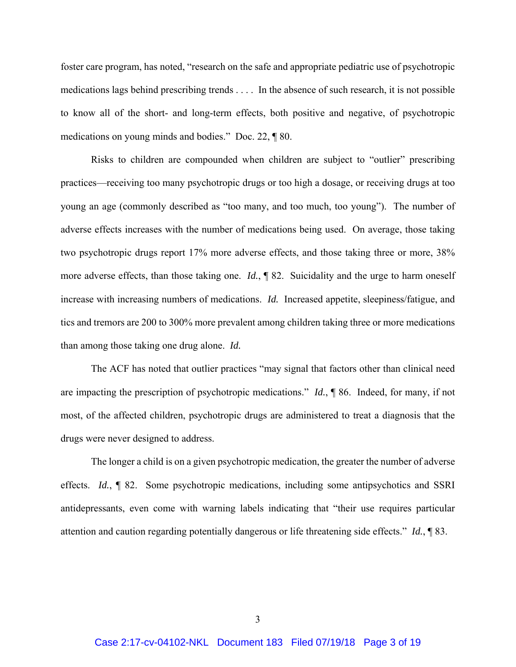foster care program, has noted, "research on the safe and appropriate pediatric use of psychotropic medications lags behind prescribing trends . . . . In the absence of such research, it is not possible to know all of the short- and long-term effects, both positive and negative, of psychotropic medications on young minds and bodies." Doc. 22, ¶ 80.

Risks to children are compounded when children are subject to "outlier" prescribing practices—receiving too many psychotropic drugs or too high a dosage, or receiving drugs at too young an age (commonly described as "too many, and too much, too young"). The number of adverse effects increases with the number of medications being used. On average, those taking two psychotropic drugs report 17% more adverse effects, and those taking three or more, 38% more adverse effects, than those taking one. *Id.*, ¶ 82. Suicidality and the urge to harm oneself increase with increasing numbers of medications. *Id.* Increased appetite, sleepiness/fatigue, and tics and tremors are 200 to 300% more prevalent among children taking three or more medications than among those taking one drug alone. *Id.*

The ACF has noted that outlier practices "may signal that factors other than clinical need are impacting the prescription of psychotropic medications." *Id.*, ¶ 86. Indeed, for many, if not most, of the affected children, psychotropic drugs are administered to treat a diagnosis that the drugs were never designed to address.

The longer a child is on a given psychotropic medication, the greater the number of adverse effects. *Id.*, ¶ 82. Some psychotropic medications, including some antipsychotics and SSRI antidepressants, even come with warning labels indicating that "their use requires particular attention and caution regarding potentially dangerous or life threatening side effects." *Id.*, ¶ 83.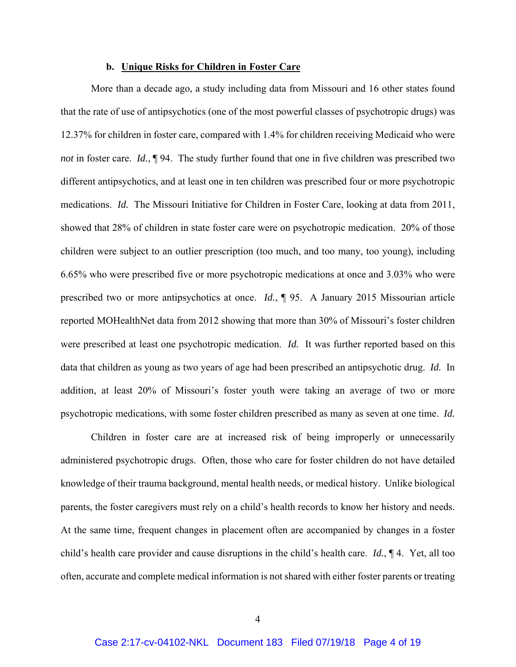### **b. Unique Risks for Children in Foster Care**

More than a decade ago, a study including data from Missouri and 16 other states found that the rate of use of antipsychotics (one of the most powerful classes of psychotropic drugs) was 12.37% for children in foster care, compared with 1.4% for children receiving Medicaid who were *not* in foster care. *Id.*, ¶ 94. The study further found that one in five children was prescribed two different antipsychotics, and at least one in ten children was prescribed four or more psychotropic medications. *Id.* The Missouri Initiative for Children in Foster Care, looking at data from 2011, showed that 28% of children in state foster care were on psychotropic medication. 20% of those children were subject to an outlier prescription (too much, and too many, too young), including 6.65% who were prescribed five or more psychotropic medications at once and 3.03% who were prescribed two or more antipsychotics at once. *Id.*, ¶ 95. A January 2015 Missourian article reported MOHealthNet data from 2012 showing that more than 30% of Missouri's foster children were prescribed at least one psychotropic medication. *Id.* It was further reported based on this data that children as young as two years of age had been prescribed an antipsychotic drug. *Id.* In addition, at least 20% of Missouri's foster youth were taking an average of two or more psychotropic medications, with some foster children prescribed as many as seven at one time. *Id.* 

Children in foster care are at increased risk of being improperly or unnecessarily administered psychotropic drugs. Often, those who care for foster children do not have detailed knowledge of their trauma background, mental health needs, or medical history. Unlike biological parents, the foster caregivers must rely on a child's health records to know her history and needs. At the same time, frequent changes in placement often are accompanied by changes in a foster child's health care provider and cause disruptions in the child's health care. *Id.*, ¶ 4. Yet, all too often, accurate and complete medical information is not shared with either foster parents or treating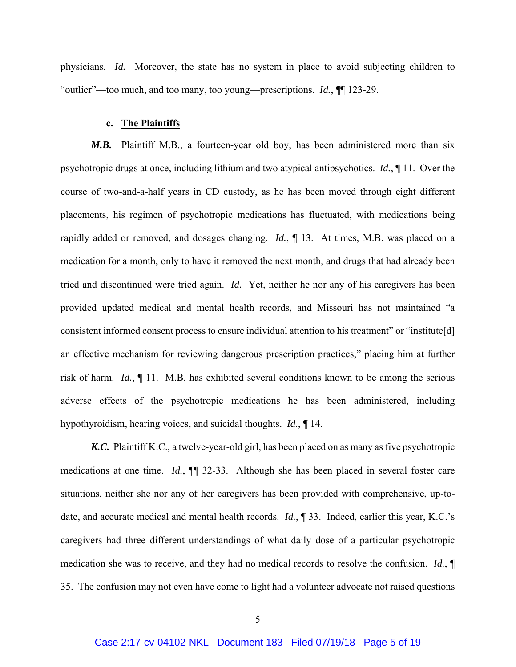physicians. *Id.* Moreover, the state has no system in place to avoid subjecting children to "outlier"—too much, and too many, too young—prescriptions. *Id.*, ¶¶ 123-29.

#### **c. The Plaintiffs**

*M.B.*Plaintiff M.B., a fourteen-year old boy, has been administered more than six psychotropic drugs at once, including lithium and two atypical antipsychotics. *Id.*, ¶ 11. Over the course of two-and-a-half years in CD custody, as he has been moved through eight different placements, his regimen of psychotropic medications has fluctuated, with medications being rapidly added or removed, and dosages changing. *Id.*, ¶ 13. At times, M.B. was placed on a medication for a month, only to have it removed the next month, and drugs that had already been tried and discontinued were tried again. *Id.* Yet, neither he nor any of his caregivers has been provided updated medical and mental health records, and Missouri has not maintained "a consistent informed consent process to ensure individual attention to his treatment" or "institute[d] an effective mechanism for reviewing dangerous prescription practices," placing him at further risk of harm. *Id.*, ¶ 11. M.B. has exhibited several conditions known to be among the serious adverse effects of the psychotropic medications he has been administered, including hypothyroidism, hearing voices, and suicidal thoughts. *Id.*, ¶ 14.

*K.C.* Plaintiff K.C., a twelve-year-old girl, has been placed on as many as five psychotropic medications at one time. *Id.*, ¶¶ 32-33. Although she has been placed in several foster care situations, neither she nor any of her caregivers has been provided with comprehensive, up-todate, and accurate medical and mental health records. *Id.*, ¶ 33. Indeed, earlier this year, K.C.'s caregivers had three different understandings of what daily dose of a particular psychotropic medication she was to receive, and they had no medical records to resolve the confusion. *Id.*, ¶ 35. The confusion may not even have come to light had a volunteer advocate not raised questions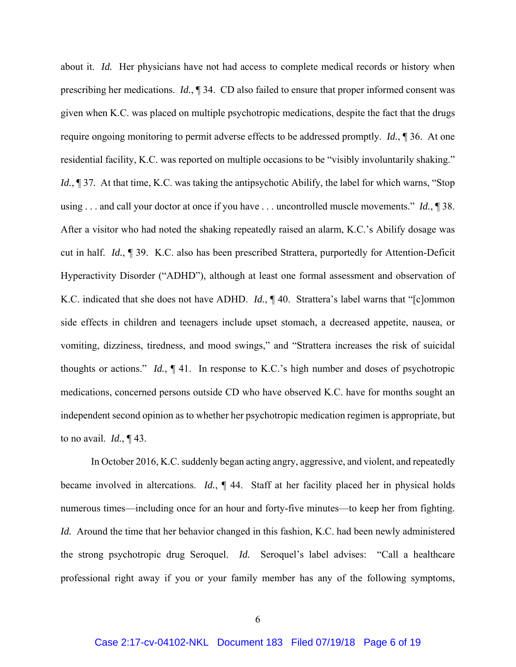about it. *Id.* Her physicians have not had access to complete medical records or history when prescribing her medications. *Id.*, ¶ 34. CD also failed to ensure that proper informed consent was given when K.C. was placed on multiple psychotropic medications, despite the fact that the drugs require ongoing monitoring to permit adverse effects to be addressed promptly. *Id.*, ¶ 36. At one residential facility, K.C. was reported on multiple occasions to be "visibly involuntarily shaking." *Id.*, 137. At that time, K.C. was taking the antipsychotic Abilify, the label for which warns, "Stop using . . . and call your doctor at once if you have . . . uncontrolled muscle movements." *Id.*, ¶ 38. After a visitor who had noted the shaking repeatedly raised an alarm, K.C.'s Abilify dosage was cut in half. *Id.*, ¶ 39. K.C. also has been prescribed Strattera, purportedly for Attention-Deficit Hyperactivity Disorder ("ADHD"), although at least one formal assessment and observation of K.C. indicated that she does not have ADHD. *Id.*, ¶ 40. Strattera's label warns that "[c]ommon side effects in children and teenagers include upset stomach, a decreased appetite, nausea, or vomiting, dizziness, tiredness, and mood swings," and "Strattera increases the risk of suicidal thoughts or actions." *Id.*, ¶ 41. In response to K.C.'s high number and doses of psychotropic medications, concerned persons outside CD who have observed K.C. have for months sought an independent second opinion as to whether her psychotropic medication regimen is appropriate, but to no avail. *Id.*, ¶ 43.

In October 2016, K.C. suddenly began acting angry, aggressive, and violent, and repeatedly became involved in altercations. *Id.*, ¶ 44. Staff at her facility placed her in physical holds numerous times—including once for an hour and forty-five minutes—to keep her from fighting. *Id.* Around the time that her behavior changed in this fashion, K.C. had been newly administered the strong psychotropic drug Seroquel. *Id.* Seroquel's label advises: "Call a healthcare professional right away if you or your family member has any of the following symptoms,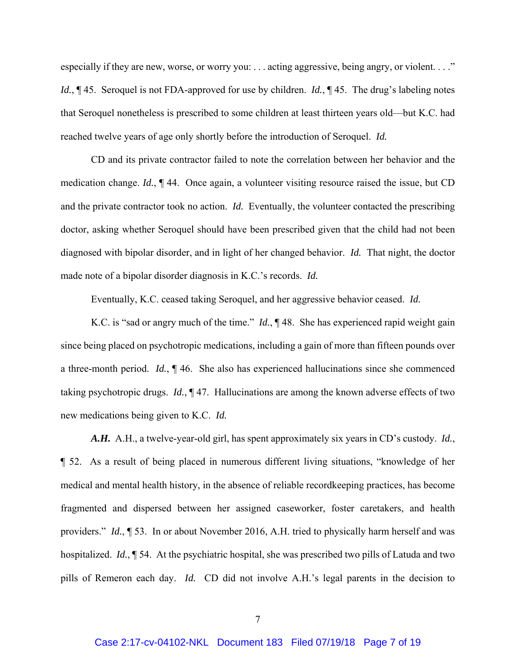especially if they are new, worse, or worry you: ... acting aggressive, being angry, or violent. . . ." *Id.*, ¶ 45. Seroquel is not FDA-approved for use by children. *Id.*, ¶ 45. The drug's labeling notes that Seroquel nonetheless is prescribed to some children at least thirteen years old—but K.C. had reached twelve years of age only shortly before the introduction of Seroquel. *Id.*

CD and its private contractor failed to note the correlation between her behavior and the medication change. *Id.*, ¶ 44. Once again, a volunteer visiting resource raised the issue, but CD and the private contractor took no action. *Id.* Eventually, the volunteer contacted the prescribing doctor, asking whether Seroquel should have been prescribed given that the child had not been diagnosed with bipolar disorder, and in light of her changed behavior. *Id.* That night, the doctor made note of a bipolar disorder diagnosis in K.C.'s records. *Id.*

Eventually, K.C. ceased taking Seroquel, and her aggressive behavior ceased. *Id.*

K.C. is "sad or angry much of the time." *Id.*, ¶ 48. She has experienced rapid weight gain since being placed on psychotropic medications, including a gain of more than fifteen pounds over a three-month period. *Id.*, ¶ 46. She also has experienced hallucinations since she commenced taking psychotropic drugs. *Id.*, ¶ 47. Hallucinations are among the known adverse effects of two new medications being given to K.C. *Id.*

*A.H.* A.H., a twelve-year-old girl, has spent approximately six years in CD's custody. *Id.*, ¶ 52. As a result of being placed in numerous different living situations, "knowledge of her medical and mental health history, in the absence of reliable recordkeeping practices, has become fragmented and dispersed between her assigned caseworker, foster caretakers, and health providers." *Id.*, ¶ 53. In or about November 2016, A.H. tried to physically harm herself and was hospitalized. *Id.*, ¶ 54. At the psychiatric hospital, she was prescribed two pills of Latuda and two pills of Remeron each day. *Id.* CD did not involve A.H.'s legal parents in the decision to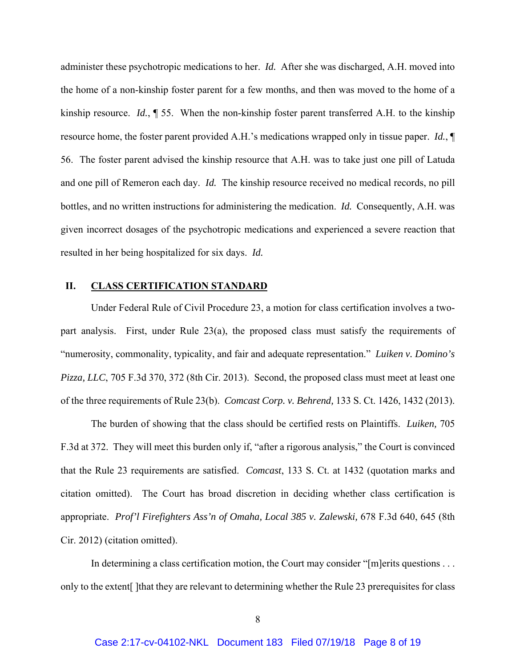administer these psychotropic medications to her. *Id.* After she was discharged, A.H. moved into the home of a non-kinship foster parent for a few months, and then was moved to the home of a kinship resource. *Id.*, ¶ 55. When the non-kinship foster parent transferred A.H. to the kinship resource home, the foster parent provided A.H.'s medications wrapped only in tissue paper. *Id.*, ¶ 56. The foster parent advised the kinship resource that A.H. was to take just one pill of Latuda and one pill of Remeron each day. *Id.* The kinship resource received no medical records, no pill bottles, and no written instructions for administering the medication. *Id.* Consequently, A.H. was given incorrect dosages of the psychotropic medications and experienced a severe reaction that resulted in her being hospitalized for six days. *Id.*

### **II. CLASS CERTIFICATION STANDARD**

Under Federal Rule of Civil Procedure 23, a motion for class certification involves a twopart analysis. First, under Rule 23(a), the proposed class must satisfy the requirements of "numerosity, commonality, typicality, and fair and adequate representation." *Luiken v. Domino's Pizza, LLC*, 705 F.3d 370, 372 (8th Cir. 2013). Second, the proposed class must meet at least one of the three requirements of Rule 23(b). *Comcast Corp. v. Behrend,* 133 S. Ct. 1426, 1432 (2013).

The burden of showing that the class should be certified rests on Plaintiffs. *Luiken,* 705 F.3d at 372. They will meet this burden only if, "after a rigorous analysis," the Court is convinced that the Rule 23 requirements are satisfied. *Comcast*, 133 S. Ct. at 1432 (quotation marks and citation omitted). The Court has broad discretion in deciding whether class certification is appropriate. *Prof'l Firefighters Ass'n of Omaha, Local 385 v. Zalewski,* 678 F.3d 640, 645 (8th Cir. 2012) (citation omitted).

In determining a class certification motion, the Court may consider "[m]erits questions . . . only to the extent[ ]that they are relevant to determining whether the Rule 23 prerequisites for class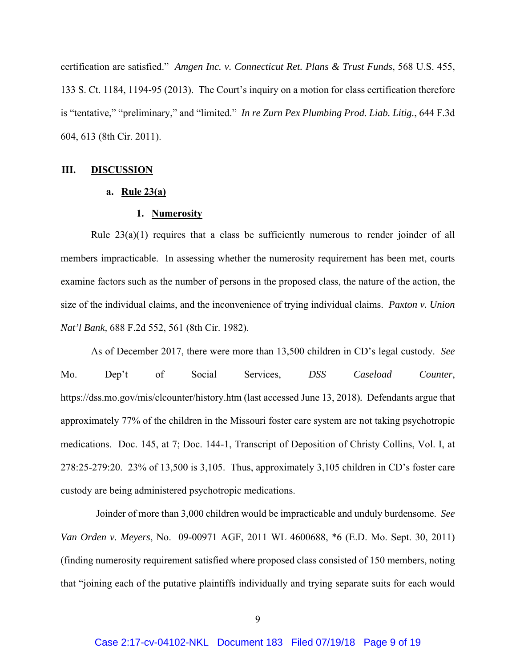certification are satisfied." *Amgen Inc. v. Connecticut Ret. Plans & Trust Funds*, 568 U.S. 455, 133 S. Ct. 1184, 1194-95 (2013). The Court's inquiry on a motion for class certification therefore is "tentative," "preliminary," and "limited." *In re Zurn Pex Plumbing Prod. Liab. Litig.*, 644 F.3d 604, 613 (8th Cir. 2011).

#### **III. DISCUSSION**

## **a. Rule 23(a)**

## **1. Numerosity**

Rule 23(a)(1) requires that a class be sufficiently numerous to render joinder of all members impracticable. In assessing whether the numerosity requirement has been met, courts examine factors such as the number of persons in the proposed class, the nature of the action, the size of the individual claims, and the inconvenience of trying individual claims. *Paxton v. Union Nat'l Bank,* 688 F.2d 552, 561 (8th Cir. 1982).

As of December 2017, there were more than 13,500 children in CD's legal custody. *See* Mo. Dep't of Social Services, *DSS Caseload Counter*, https://dss.mo.gov/mis/clcounter/history.htm (last accessed June 13, 2018)*.* Defendants argue that approximately 77% of the children in the Missouri foster care system are not taking psychotropic medications. Doc. 145, at 7; Doc. 144-1, Transcript of Deposition of Christy Collins, Vol. I, at 278:25-279:20. 23% of 13,500 is 3,105. Thus, approximately 3,105 children in CD's foster care custody are being administered psychotropic medications.

 Joinder of more than 3,000 children would be impracticable and unduly burdensome. *See Van Orden v. Meyers*, No. 09-00971 AGF, 2011 WL 4600688, \*6 (E.D. Mo. Sept. 30, 2011) (finding numerosity requirement satisfied where proposed class consisted of 150 members, noting that "joining each of the putative plaintiffs individually and trying separate suits for each would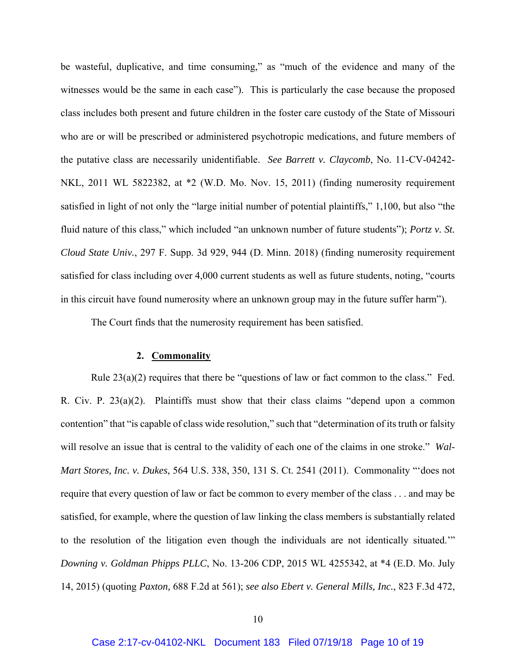be wasteful, duplicative, and time consuming," as "much of the evidence and many of the witnesses would be the same in each case"). This is particularly the case because the proposed class includes both present and future children in the foster care custody of the State of Missouri who are or will be prescribed or administered psychotropic medications, and future members of the putative class are necessarily unidentifiable. *See Barrett v. Claycomb*, No. 11-CV-04242- NKL, 2011 WL 5822382, at \*2 (W.D. Mo. Nov. 15, 2011) (finding numerosity requirement satisfied in light of not only the "large initial number of potential plaintiffs," 1,100, but also "the fluid nature of this class," which included "an unknown number of future students"); *Portz v. St. Cloud State Univ.*, 297 F. Supp. 3d 929, 944 (D. Minn. 2018) (finding numerosity requirement satisfied for class including over 4,000 current students as well as future students, noting, "courts in this circuit have found numerosity where an unknown group may in the future suffer harm").

The Court finds that the numerosity requirement has been satisfied.

#### **2. Commonality**

Rule  $23(a)(2)$  requires that there be "questions of law or fact common to the class." Fed. R. Civ. P. 23(a)(2). Plaintiffs must show that their class claims "depend upon a common contention" that "is capable of class wide resolution," such that "determination of its truth or falsity will resolve an issue that is central to the validity of each one of the claims in one stroke." *Wal-Mart Stores, Inc. v. Dukes*, 564 U.S. 338, 350, 131 S. Ct. 2541 (2011). Commonality "'does not require that every question of law or fact be common to every member of the class . . . and may be satisfied, for example, where the question of law linking the class members is substantially related to the resolution of the litigation even though the individuals are not identically situated.'" *Downing v. Goldman Phipps PLLC*, No. 13-206 CDP, 2015 WL 4255342, at \*4 (E.D. Mo. July 14, 2015) (quoting *Paxton,* 688 F.2d at 561); *see also Ebert v. General Mills, Inc.*, 823 F.3d 472,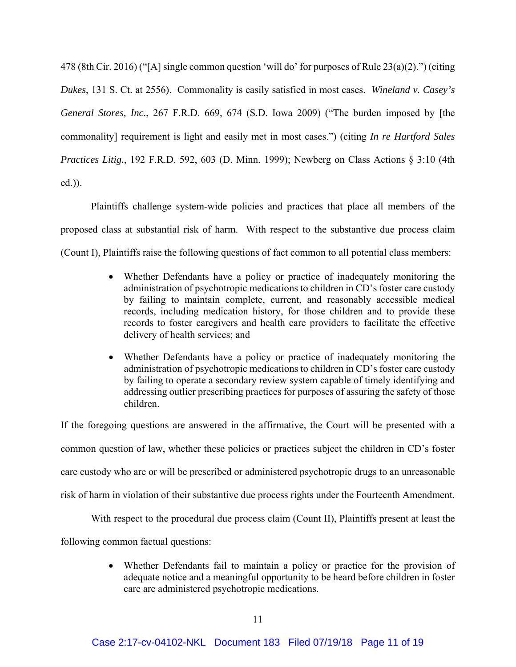478 (8th Cir. 2016) ("[A] single common question 'will do' for purposes of Rule 23(a)(2).") (citing *Dukes*, 131 S. Ct. at 2556). Commonality is easily satisfied in most cases. *Wineland v. Casey's General Stores, Inc.*, 267 F.R.D. 669, 674 (S.D. Iowa 2009) ("The burden imposed by [the commonality] requirement is light and easily met in most cases.") (citing *In re Hartford Sales Practices Litig.*, 192 F.R.D. 592, 603 (D. Minn. 1999); Newberg on Class Actions § 3:10 (4th ed.)).

Plaintiffs challenge system-wide policies and practices that place all members of the proposed class at substantial risk of harm. With respect to the substantive due process claim (Count I), Plaintiffs raise the following questions of fact common to all potential class members:

- Whether Defendants have a policy or practice of inadequately monitoring the administration of psychotropic medications to children in CD's foster care custody by failing to maintain complete, current, and reasonably accessible medical records, including medication history, for those children and to provide these records to foster caregivers and health care providers to facilitate the effective delivery of health services; and
- Whether Defendants have a policy or practice of inadequately monitoring the administration of psychotropic medications to children in CD's foster care custody by failing to operate a secondary review system capable of timely identifying and addressing outlier prescribing practices for purposes of assuring the safety of those children.

If the foregoing questions are answered in the affirmative, the Court will be presented with a common question of law, whether these policies or practices subject the children in CD's foster care custody who are or will be prescribed or administered psychotropic drugs to an unreasonable risk of harm in violation of their substantive due process rights under the Fourteenth Amendment.

With respect to the procedural due process claim (Count II), Plaintiffs present at least the

following common factual questions:

 Whether Defendants fail to maintain a policy or practice for the provision of adequate notice and a meaningful opportunity to be heard before children in foster care are administered psychotropic medications.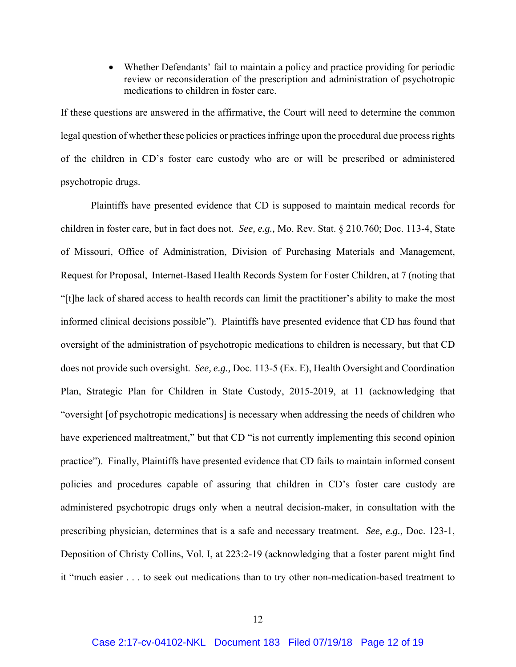Whether Defendants' fail to maintain a policy and practice providing for periodic review or reconsideration of the prescription and administration of psychotropic medications to children in foster care.

If these questions are answered in the affirmative, the Court will need to determine the common legal question of whether these policies or practices infringe upon the procedural due process rights of the children in CD's foster care custody who are or will be prescribed or administered psychotropic drugs.

Plaintiffs have presented evidence that CD is supposed to maintain medical records for children in foster care, but in fact does not. *See, e.g.,* Mo. Rev. Stat. § 210.760; Doc. 113-4, State of Missouri, Office of Administration, Division of Purchasing Materials and Management, Request for Proposal, Internet-Based Health Records System for Foster Children, at 7 (noting that "[t]he lack of shared access to health records can limit the practitioner's ability to make the most informed clinical decisions possible"). Plaintiffs have presented evidence that CD has found that oversight of the administration of psychotropic medications to children is necessary, but that CD does not provide such oversight. *See, e.g.,* Doc. 113-5 (Ex. E), Health Oversight and Coordination Plan, Strategic Plan for Children in State Custody, 2015-2019, at 11 (acknowledging that "oversight [of psychotropic medications] is necessary when addressing the needs of children who have experienced maltreatment," but that CD "is not currently implementing this second opinion practice"). Finally, Plaintiffs have presented evidence that CD fails to maintain informed consent policies and procedures capable of assuring that children in CD's foster care custody are administered psychotropic drugs only when a neutral decision-maker, in consultation with the prescribing physician, determines that is a safe and necessary treatment. *See, e.g.,* Doc. 123-1, Deposition of Christy Collins, Vol. I, at 223:2-19 (acknowledging that a foster parent might find it "much easier . . . to seek out medications than to try other non-medication-based treatment to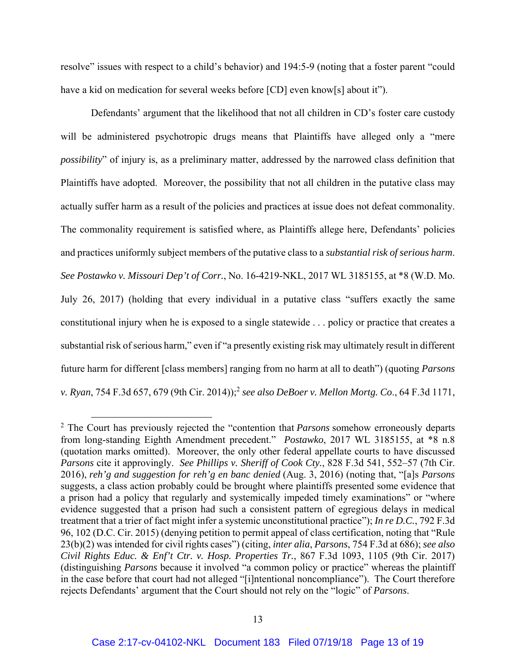resolve" issues with respect to a child's behavior) and 194:5-9 (noting that a foster parent "could have a kid on medication for several weeks before [CD] even know[s] about it").

Defendants' argument that the likelihood that not all children in CD's foster care custody will be administered psychotropic drugs means that Plaintiffs have alleged only a "mere *possibility*" of injury is, as a preliminary matter, addressed by the narrowed class definition that Plaintiffs have adopted. Moreover, the possibility that not all children in the putative class may actually suffer harm as a result of the policies and practices at issue does not defeat commonality. The commonality requirement is satisfied where, as Plaintiffs allege here, Defendants' policies and practices uniformly subject members of the putative class to a *substantial risk of serious harm*. *See Postawko v. Missouri Dep't of Corr.*, No. 16-4219-NKL, 2017 WL 3185155, at \*8 (W.D. Mo. July 26, 2017) (holding that every individual in a putative class "suffers exactly the same constitutional injury when he is exposed to a single statewide . . . policy or practice that creates a substantial risk of serious harm," even if "a presently existing risk may ultimately result in different future harm for different [class members] ranging from no harm at all to death") (quoting *Parsons v. Ryan*, 754 F.3d 657, 679 (9th Cir. 2014));<sup>2</sup> *see also DeBoer v. Mellon Mortg. Co*., 64 F.3d 1171,

<sup>&</sup>lt;sup>2</sup> The Court has previously rejected the "contention that *Parsons* somehow erroneously departs from long-standing Eighth Amendment precedent." *Postawko*, 2017 WL 3185155, at \*8 n.8 (quotation marks omitted). Moreover, the only other federal appellate courts to have discussed *Parsons* cite it approvingly. *See Phillips v. Sheriff of Cook Cty.*, 828 F.3d 541, 552–57 (7th Cir. 2016), *reh'g and suggestion for reh'g en banc denied* (Aug. 3, 2016) (noting that, "[a]s *Parsons* suggests, a class action probably could be brought where plaintiffs presented some evidence that a prison had a policy that regularly and systemically impeded timely examinations" or "where evidence suggested that a prison had such a consistent pattern of egregious delays in medical treatment that a trier of fact might infer a systemic unconstitutional practice"); *In re D.C.*, 792 F.3d 96, 102 (D.C. Cir. 2015) (denying petition to permit appeal of class certification, noting that "Rule 23(b)(2) was intended for civil rights cases") (citing, *inter alia*, *Parsons*, 754 F.3d at 686); *see also Civil Rights Educ. & Enf't Ctr. v. Hosp. Properties Tr.*, 867 F.3d 1093, 1105 (9th Cir. 2017) (distinguishing *Parsons* because it involved "a common policy or practice" whereas the plaintiff in the case before that court had not alleged "[i]ntentional noncompliance"). The Court therefore rejects Defendants' argument that the Court should not rely on the "logic" of *Parsons*.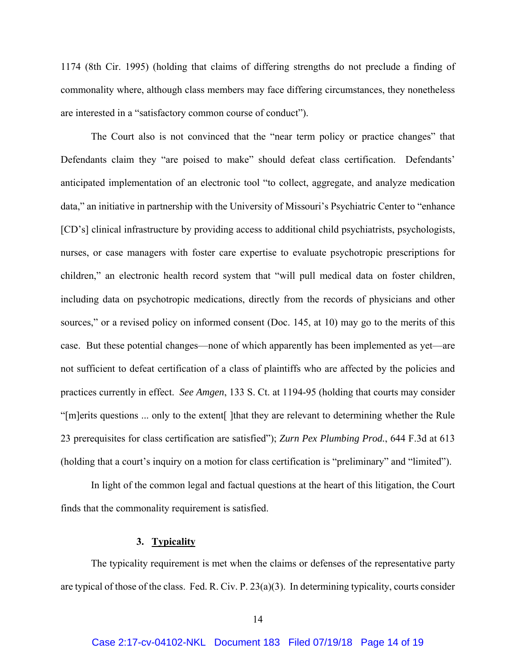1174 (8th Cir. 1995) (holding that claims of differing strengths do not preclude a finding of commonality where, although class members may face differing circumstances, they nonetheless are interested in a "satisfactory common course of conduct").

The Court also is not convinced that the "near term policy or practice changes" that Defendants claim they "are poised to make" should defeat class certification. Defendants' anticipated implementation of an electronic tool "to collect, aggregate, and analyze medication data," an initiative in partnership with the University of Missouri's Psychiatric Center to "enhance [CD's] clinical infrastructure by providing access to additional child psychiatrists, psychologists, nurses, or case managers with foster care expertise to evaluate psychotropic prescriptions for children," an electronic health record system that "will pull medical data on foster children, including data on psychotropic medications, directly from the records of physicians and other sources," or a revised policy on informed consent (Doc. 145, at 10) may go to the merits of this case. But these potential changes—none of which apparently has been implemented as yet—are not sufficient to defeat certification of a class of plaintiffs who are affected by the policies and practices currently in effect. *See Amgen*, 133 S. Ct. at 1194-95 (holding that courts may consider "[m]erits questions ... only to the extent[ ]that they are relevant to determining whether the Rule 23 prerequisites for class certification are satisfied"); *Zurn Pex Plumbing Prod.*, 644 F.3d at 613 (holding that a court's inquiry on a motion for class certification is "preliminary" and "limited").

In light of the common legal and factual questions at the heart of this litigation, the Court finds that the commonality requirement is satisfied.

## **3. Typicality**

The typicality requirement is met when the claims or defenses of the representative party are typical of those of the class. Fed. R. Civ. P. 23(a)(3). In determining typicality, courts consider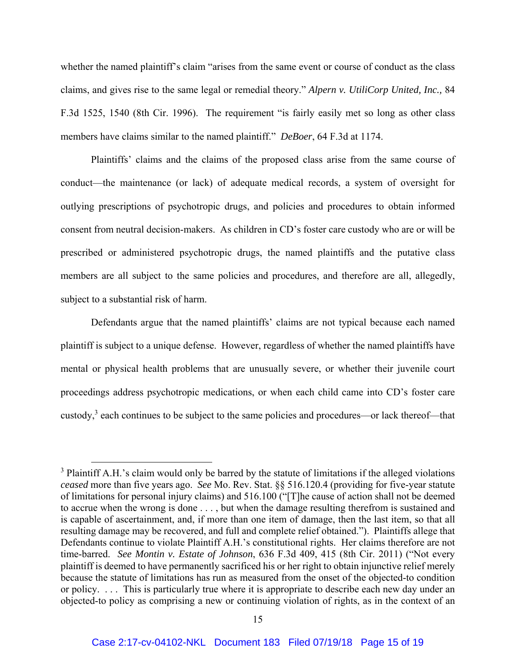whether the named plaintiff's claim "arises from the same event or course of conduct as the class claims, and gives rise to the same legal or remedial theory." *Alpern v. UtiliCorp United, Inc.,* 84 F.3d 1525, 1540 (8th Cir. 1996). The requirement "is fairly easily met so long as other class members have claims similar to the named plaintiff." *DeBoer*, 64 F.3d at 1174.

Plaintiffs' claims and the claims of the proposed class arise from the same course of conduct—the maintenance (or lack) of adequate medical records, a system of oversight for outlying prescriptions of psychotropic drugs, and policies and procedures to obtain informed consent from neutral decision-makers. As children in CD's foster care custody who are or will be prescribed or administered psychotropic drugs, the named plaintiffs and the putative class members are all subject to the same policies and procedures, and therefore are all, allegedly, subject to a substantial risk of harm.

Defendants argue that the named plaintiffs' claims are not typical because each named plaintiff is subject to a unique defense. However, regardless of whether the named plaintiffs have mental or physical health problems that are unusually severe, or whether their juvenile court proceedings address psychotropic medications, or when each child came into CD's foster care custody,<sup>3</sup> each continues to be subject to the same policies and procedures—or lack thereof—that

<sup>&</sup>lt;sup>3</sup> Plaintiff A.H.'s claim would only be barred by the statute of limitations if the alleged violations *ceased* more than five years ago. *See* Mo. Rev. Stat. §§ 516.120.4 (providing for five-year statute of limitations for personal injury claims) and 516.100 ("[T]he cause of action shall not be deemed to accrue when the wrong is done . . . , but when the damage resulting therefrom is sustained and is capable of ascertainment, and, if more than one item of damage, then the last item, so that all resulting damage may be recovered, and full and complete relief obtained."). Plaintiffs allege that Defendants continue to violate Plaintiff A.H.'s constitutional rights. Her claims therefore are not time-barred. *See Montin v. Estate of Johnson*, 636 F.3d 409, 415 (8th Cir. 2011) ("Not every plaintiff is deemed to have permanently sacrificed his or her right to obtain injunctive relief merely because the statute of limitations has run as measured from the onset of the objected-to condition or policy. . . . This is particularly true where it is appropriate to describe each new day under an objected-to policy as comprising a new or continuing violation of rights, as in the context of an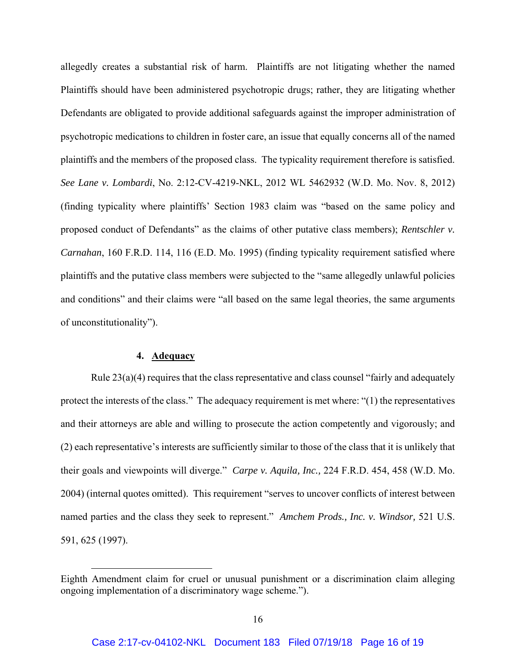allegedly creates a substantial risk of harm. Plaintiffs are not litigating whether the named Plaintiffs should have been administered psychotropic drugs; rather, they are litigating whether Defendants are obligated to provide additional safeguards against the improper administration of psychotropic medications to children in foster care, an issue that equally concerns all of the named plaintiffs and the members of the proposed class. The typicality requirement therefore is satisfied. *See Lane v. Lombardi*, No. 2:12-CV-4219-NKL, 2012 WL 5462932 (W.D. Mo. Nov. 8, 2012) (finding typicality where plaintiffs' Section 1983 claim was "based on the same policy and proposed conduct of Defendants" as the claims of other putative class members); *Rentschler v. Carnahan*, 160 F.R.D. 114, 116 (E.D. Mo. 1995) (finding typicality requirement satisfied where plaintiffs and the putative class members were subjected to the "same allegedly unlawful policies and conditions" and their claims were "all based on the same legal theories, the same arguments of unconstitutionality").

## **4. Adequacy**

 $\overline{a}$ 

Rule  $23(a)(4)$  requires that the class representative and class counsel "fairly and adequately protect the interests of the class." The adequacy requirement is met where: "(1) the representatives and their attorneys are able and willing to prosecute the action competently and vigorously; and (2) each representative's interests are sufficiently similar to those of the class that it is unlikely that their goals and viewpoints will diverge." *Carpe v. Aquila, Inc.,* 224 F.R.D. 454, 458 (W.D. Mo. 2004) (internal quotes omitted). This requirement "serves to uncover conflicts of interest between named parties and the class they seek to represent." *Amchem Prods., Inc. v. Windsor,* 521 U.S. 591, 625 (1997).

Eighth Amendment claim for cruel or unusual punishment or a discrimination claim alleging ongoing implementation of a discriminatory wage scheme.").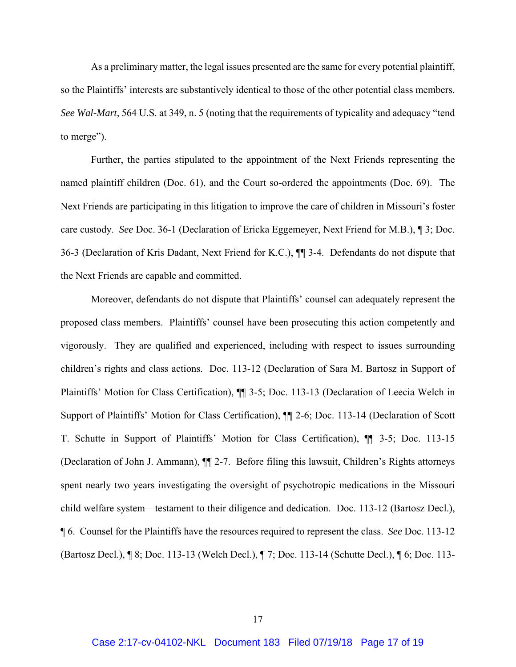As a preliminary matter, the legal issues presented are the same for every potential plaintiff, so the Plaintiffs' interests are substantively identical to those of the other potential class members. *See Wal-Mart,* 564 U.S. at 349, n. 5 (noting that the requirements of typicality and adequacy "tend to merge").

Further, the parties stipulated to the appointment of the Next Friends representing the named plaintiff children (Doc. 61), and the Court so-ordered the appointments (Doc. 69). The Next Friends are participating in this litigation to improve the care of children in Missouri's foster care custody. *See* Doc. 36-1 (Declaration of Ericka Eggemeyer, Next Friend for M.B.), ¶ 3; Doc. 36-3 (Declaration of Kris Dadant, Next Friend for K.C.), ¶¶ 3-4. Defendants do not dispute that the Next Friends are capable and committed.

Moreover, defendants do not dispute that Plaintiffs' counsel can adequately represent the proposed class members. Plaintiffs' counsel have been prosecuting this action competently and vigorously. They are qualified and experienced, including with respect to issues surrounding children's rights and class actions. Doc. 113-12 (Declaration of Sara M. Bartosz in Support of Plaintiffs' Motion for Class Certification), ¶¶ 3-5; Doc. 113-13 (Declaration of Leecia Welch in Support of Plaintiffs' Motion for Class Certification), ¶¶ 2-6; Doc. 113-14 (Declaration of Scott T. Schutte in Support of Plaintiffs' Motion for Class Certification), ¶¶ 3-5; Doc. 113-15 (Declaration of John J. Ammann), ¶¶ 2-7. Before filing this lawsuit, Children's Rights attorneys spent nearly two years investigating the oversight of psychotropic medications in the Missouri child welfare system—testament to their diligence and dedication. Doc. 113-12 (Bartosz Decl.), ¶ 6. Counsel for the Plaintiffs have the resources required to represent the class. *See* Doc. 113-12 (Bartosz Decl.), ¶ 8; Doc. 113-13 (Welch Decl.), ¶ 7; Doc. 113-14 (Schutte Decl.), ¶ 6; Doc. 113-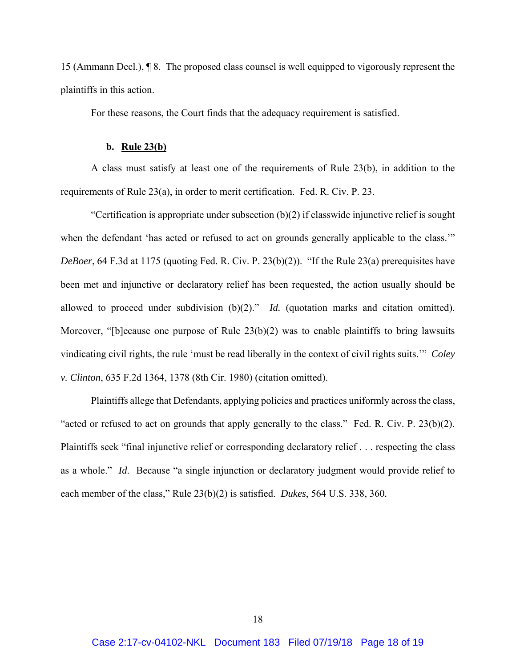15 (Ammann Decl.), ¶ 8. The proposed class counsel is well equipped to vigorously represent the plaintiffs in this action.

For these reasons, the Court finds that the adequacy requirement is satisfied.

#### **b. Rule 23(b)**

A class must satisfy at least one of the requirements of Rule 23(b), in addition to the requirements of Rule 23(a), in order to merit certification. Fed. R. Civ. P. 23.

"Certification is appropriate under subsection (b)(2) if classwide injunctive relief is sought when the defendant 'has acted or refused to act on grounds generally applicable to the class.'" *DeBoer*, 64 F.3d at 1175 (quoting Fed. R. Civ. P. 23(b)(2)). "If the Rule 23(a) prerequisites have been met and injunctive or declaratory relief has been requested, the action usually should be allowed to proceed under subdivision (b)(2)." *Id.* (quotation marks and citation omitted). Moreover, "[b]ecause one purpose of Rule 23(b)(2) was to enable plaintiffs to bring lawsuits vindicating civil rights, the rule 'must be read liberally in the context of civil rights suits.'" *Coley v. Clinton*, 635 F.2d 1364, 1378 (8th Cir. 1980) (citation omitted).

Plaintiffs allege that Defendants, applying policies and practices uniformly across the class, "acted or refused to act on grounds that apply generally to the class." Fed. R. Civ. P. 23(b)(2). Plaintiffs seek "final injunctive relief or corresponding declaratory relief . . . respecting the class as a whole." *Id*. Because "a single injunction or declaratory judgment would provide relief to each member of the class," Rule 23(b)(2) is satisfied. *Dukes*, 564 U.S. 338, 360*.*